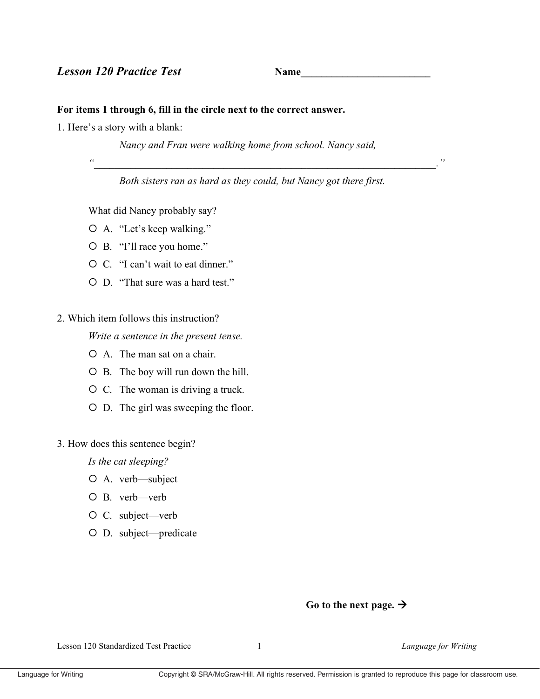# **Lesson 120 Practice Test**

**Name** 

## For items 1 through 6, fill in the circle next to the correct answer.

1. Here's a story with a blank:

Nancy and Fran were walking home from school. Nancy said,

 $\epsilon$ 

Both sisters ran as hard as they could, but Nancy got there first.

What did Nancy probably say?

- O A. "Let's keep walking."
- O B. "I'll race you home."
- O C. "I can't wait to eat dinner."
- O D. "That sure was a hard test."
- 2. Which item follows this instruction?

Write a sentence in the present tense.

- $\circ$  A. The man sat on a chair.
- O B. The boy will run down the hill.
- O C. The woman is driving a truck.
- O D. The girl was sweeping the floor.

### 3. How does this sentence begin?

Is the cat sleeping?

- O A. verb-subject
- $O$  B. verb—verb
- O C. subject—verb
- O D. subject-predicate

#### Go to the next page.  $\rightarrow$

Lesson 120 Standardized Test Practice

 $\mathbf{1}$ 

Language for Writing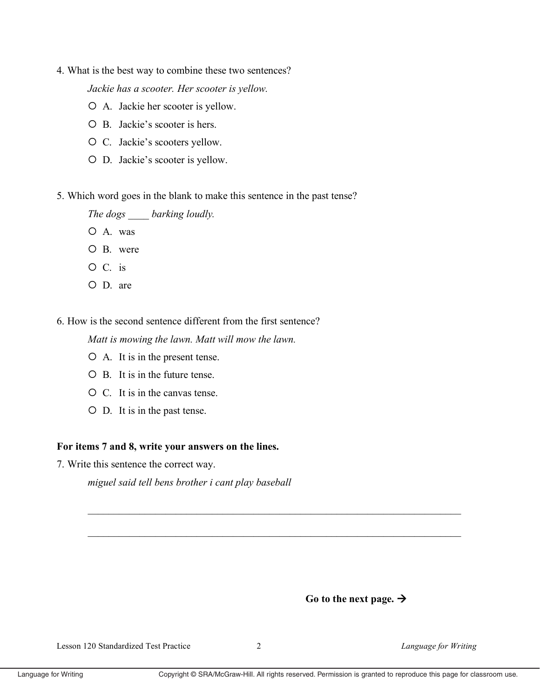4. What is the best way to combine these two sentences?

Jackie has a scooter. Her scooter is yellow.

- O A. Jackie her scooter is yellow.
- O B. Jackie's scooter is hers.
- O C. Jackie's scooters yellow.
- O D. Jackie's scooter is yellow.
- 5. Which word goes in the blank to make this sentence in the past tense?

The dogs barking loudly.

- $O$  A. was
- $O$  B were
- $O C.$  is
- $O$  D. are

6. How is the second sentence different from the first sentence?

Matt is mowing the lawn. Matt will mow the lawn.

- O A. It is in the present tense.
- $\overline{O}$  B. It is in the future tense.
- O C. It is in the canvas tense.
- O D. It is in the past tense.

### For items 7 and 8, write your answers on the lines.

7. Write this sentence the correct way.

miguel said tell bens brother i cant play baseball



Language for Writing